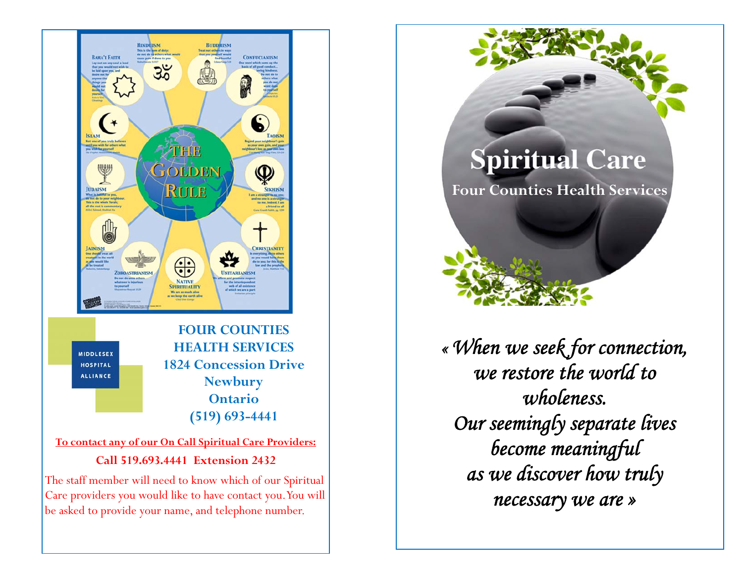

The staff member will need to know which of our Spiritual Care providers you would like to have contact you. You will be asked to provide your name, and telephone number.

**Spiritual Care Four Counties Health Services** 

*« When we seek for connection, we restore the world to wholeness. Our seemingly separate lives become meaningful as we discover how truly necessary we are »*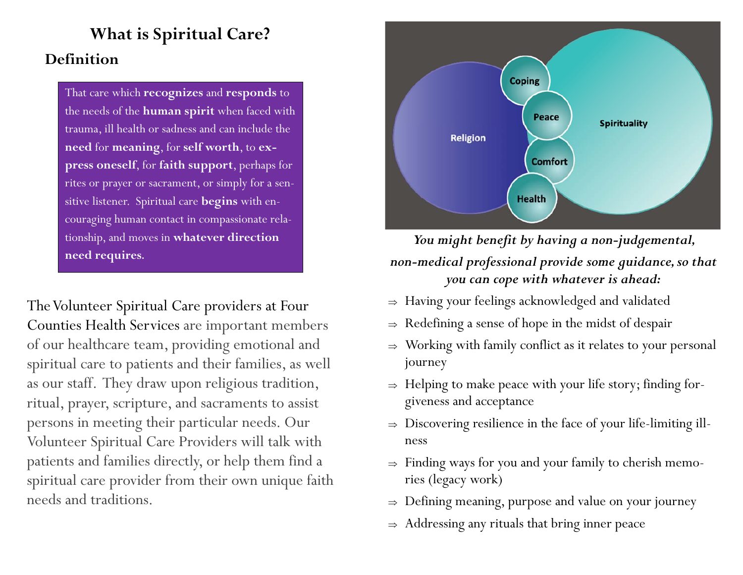## **What is Spiritual Care? Definition**

That care which **recognizes** and **responds** to the needs of the **human spirit** when faced with trauma, ill health or sadness and can include the **need** for **meaning**, for **self worth**, to **express oneself**, for **faith support**, perhaps for rites or prayer or sacrament, or simply for a sensitive listener. Spiritual care **begins** with encouraging human contact in compassionate relationship, and moves in **whatever direction need requires.** 

The Volunteer Spiritual Care providers at Four Counties Health Services are important members of our healthcare team, providing emotional and spiritual care to patients and their families, as well as our staff. They draw upon religious tradition, ritual, prayer, scripture, and sacraments to assist persons in meeting their particular needs. Our Volunteer Spiritual Care Providers will talk with patients and families directly, or help them find a spiritual care provider from their own unique faith needs and traditions.



*You might benefit by having a non-judgemental, non-medical professional provide some guidance, so that you can cope with whatever is ahead:* 

- $\Rightarrow$  Having your feelings acknowledged and validated
- $\Rightarrow$  Redefining a sense of hope in the midst of despair
- $\Rightarrow$  Working with family conflict as it relates to your personal journey
- $\Rightarrow$  Helping to make peace with your life story; finding forgiveness and acceptance
- $\Rightarrow$  Discovering resilience in the face of your life-limiting illness
- $\Rightarrow$  Finding ways for you and your family to cherish memories (legacy work)
- $\Rightarrow$  Defining meaning, purpose and value on your journey
- $\Rightarrow$  Addressing any rituals that bring inner peace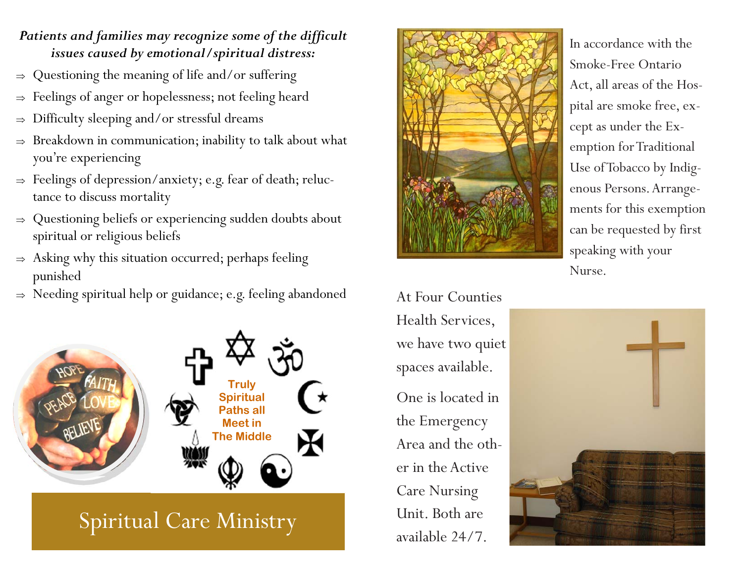#### *Patients and families may recognize some of the difficult issues caused by emotional/spiritual distress:*

- $\Rightarrow$ Questioning the meaning of life and/or suffering
- $\Rightarrow$ Feelings of anger or hopelessness; not feeling heard
- $\Rightarrow$ Difficulty sleeping and/or stressful dreams
- $\Rightarrow$  Breakdown in communication; inability to talk about what you're experiencing
- $\Rightarrow$  Feelings of depression/anxiety; e.g. fear of death; reluctance to discuss mortality
- $\Rightarrow$  Questioning beliefs or experiencing sudden doubts about spiritual or religious beliefs
- $\Rightarrow$  Asking why this situation occurred; perhaps feeling punished
- $\Rightarrow$  Needing spiritual help or guidance; e.g. feeling abandoned



# Spiritual Care Ministry



In accordance with the Smoke-Free Ontario Act, all areas of the Hospital are smoke free, except as under the Exemption for Traditional Use of Tobacco by Indigenous Persons. Arrangements for this exemption can be requested by first speaking with your Nurse.

At Four Counties Health Services, we have two quiet spaces available. One is located in the Emergency Area and the other in the Active Care Nursing Unit. Both are available 24/7.